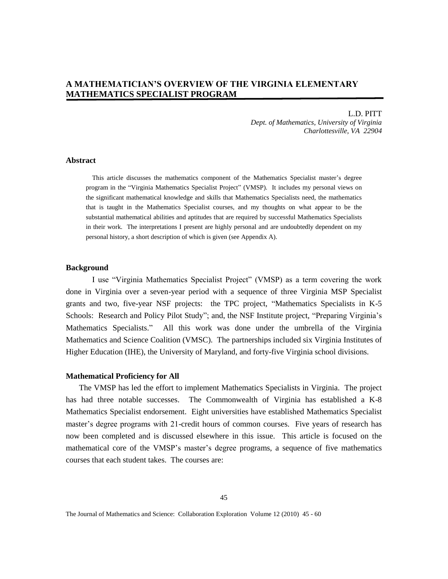# **A MATHEMATICIAN'S OVERVIEW OF THE VIRGINIA ELEMENTARY MATHEMATICS SPECIALIST PROGRAM**

L.D. PITT *Dept. of Mathematics, University of Virginia Charlottesville, VA 22904*

# **Abstract**

This article discusses the mathematics component of the Mathematics Specialist master's degree program in the "Virginia Mathematics Specialist Project" (VMSP). It includes my personal views on the significant mathematical knowledge and skills that Mathematics Specialists need, the mathematics that is taught in the Mathematics Specialist courses, and my thoughts on what appear to be the substantial mathematical abilities and aptitudes that are required by successful Mathematics Specialists in their work. The interpretations I present are highly personal and are undoubtedly dependent on my personal history, a short description of which is given (see Appendix A).

# **Background**

I use "Virginia Mathematics Specialist Project" (VMSP) as a term covering the work done in Virginia over a seven-year period with a sequence of three Virginia MSP Specialist grants and two, five-year NSF projects: the TPC project, "Mathematics Specialists in K-5 Schools: Research and Policy Pilot Study"; and, the NSF Institute project, "Preparing Virginia's Mathematics Specialists." All this work was done under the umbrella of the Virginia Mathematics and Science Coalition (VMSC). The partnerships included six Virginia Institutes of Higher Education (IHE), the University of Maryland, and forty-five Virginia school divisions.

### **Mathematical Proficiency for All**

The VMSP has led the effort to implement Mathematics Specialists in Virginia. The project has had three notable successes. The Commonwealth of Virginia has established a K-8 Mathematics Specialist endorsement. Eight universities have established Mathematics Specialist master's degree programs with 21-credit hours of common courses. Five years of research has now been completed and is discussed elsewhere in this issue. This article is focused on the mathematical core of the VMSP's master's degree programs, a sequence of five mathematics courses that each student takes. The courses are:

The Journal of Mathematics and Science: Collaboration Exploration Volume 12 (2010) 45 - 60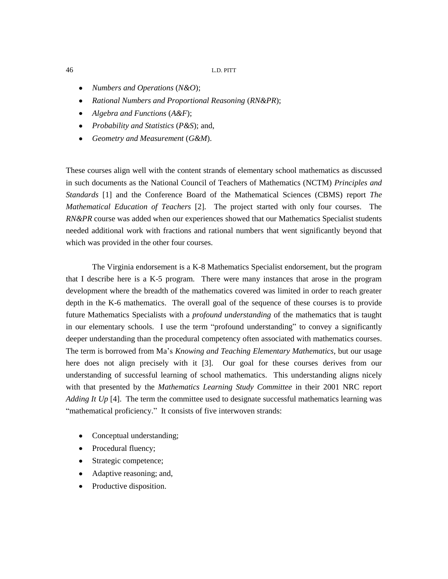- *Numbers and Operations* (*N&O*);
- *Rational Numbers and Proportional Reasoning* (*RN&PR*);
- *Algebra and Functions* (*A&F*);
- *Probability and Statistics* (*P&S*); and,
- *Geometry and Measurement* (*G&M*).  $\bullet$

These courses align well with the content strands of elementary school mathematics as discussed in such documents as the National Council of Teachers of Mathematics (NCTM) *Principles and Standards* [1] and the Conference Board of the Mathematical Sciences (CBMS) report *The Mathematical Education of Teachers* [2]. The project started with only four courses. The *RN&PR* course was added when our experiences showed that our Mathematics Specialist students needed additional work with fractions and rational numbers that went significantly beyond that which was provided in the other four courses.

The Virginia endorsement is a K-8 Mathematics Specialist endorsement, but the program that I describe here is a K-5 program. There were many instances that arose in the program development where the breadth of the mathematics covered was limited in order to reach greater depth in the K-6 mathematics. The overall goal of the sequence of these courses is to provide future Mathematics Specialists with a *profound understanding* of the mathematics that is taught in our elementary schools. I use the term "profound understanding" to convey a significantly deeper understanding than the procedural competency often associated with mathematics courses. The term is borrowed from Ma's *Knowing and Teaching Elementary Mathematics*, but our usage here does not align precisely with it [3]. Our goal for these courses derives from our understanding of successful learning of school mathematics. This understanding aligns nicely with that presented by the *Mathematics Learning Study Committee* in their 2001 NRC report *Adding It Up* [4]. The term the committee used to designate successful mathematics learning was "mathematical proficiency."It consists of five interwoven strands:

- Conceptual understanding;
- Procedural fluency;
- Strategic competence;
- Adaptive reasoning; and,
- Productive disposition.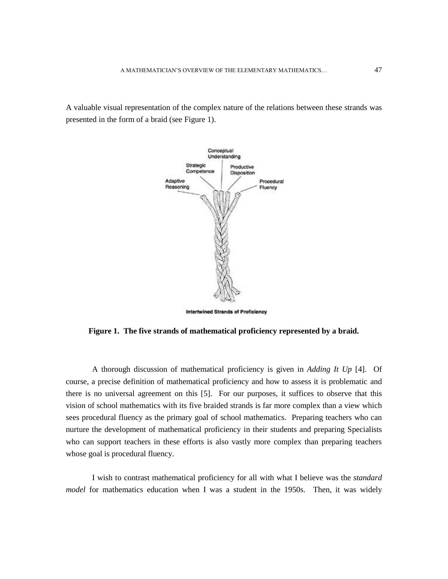A valuable visual representation of the complex nature of the relations between these strands was presented in the form of a braid (see Figure 1).



**Figure 1. The five strands of mathematical proficiency represented by a braid.** 

A thorough discussion of mathematical proficiency is given in *Adding It Up* [4]. Of course, a precise definition of mathematical proficiency and how to assess it is problematic and there is no universal agreement on this [5]. For our purposes, it suffices to observe that this vision of school mathematics with its five braided strands is far more complex than a view which sees procedural fluency as the primary goal of school mathematics. Preparing teachers who can nurture the development of mathematical proficiency in their students and preparing Specialists who can support teachers in these efforts is also vastly more complex than preparing teachers whose goal is procedural fluency.

I wish to contrast mathematical proficiency for all with what I believe was the *standard model* for mathematics education when I was a student in the 1950s. Then, it was widely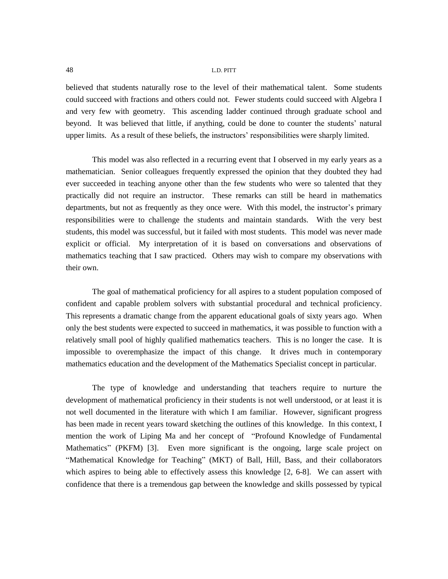believed that students naturally rose to the level of their mathematical talent. Some students could succeed with fractions and others could not. Fewer students could succeed with Algebra I and very few with geometry. This ascending ladder continued through graduate school and beyond. It was believed that little, if anything, could be done to counter the students' natural upper limits. As a result of these beliefs, the instructors' responsibilities were sharply limited.

This model was also reflected in a recurring event that I observed in my early years as a mathematician. Senior colleagues frequently expressed the opinion that they doubted they had ever succeeded in teaching anyone other than the few students who were so talented that they practically did not require an instructor. These remarks can still be heard in mathematics departments, but not as frequently as they once were. With this model, the instructor's primary responsibilities were to challenge the students and maintain standards. With the very best students, this model was successful, but it failed with most students. This model was never made explicit or official. My interpretation of it is based on conversations and observations of mathematics teaching that I saw practiced. Others may wish to compare my observations with their own.

The goal of mathematical proficiency for all aspires to a student population composed of confident and capable problem solvers with substantial procedural and technical proficiency. This represents a dramatic change from the apparent educational goals of sixty years ago. When only the best students were expected to succeed in mathematics, it was possible to function with a relatively small pool of highly qualified mathematics teachers. This is no longer the case. It is impossible to overemphasize the impact of this change. It drives much in contemporary mathematics education and the development of the Mathematics Specialist concept in particular.

The type of knowledge and understanding that teachers require to nurture the development of mathematical proficiency in their students is not well understood, or at least it is not well documented in the literature with which I am familiar. However, significant progress has been made in recent years toward sketching the outlines of this knowledge. In this context, I mention the work of Liping Ma and her concept of "Profound Knowledge of Fundamental Mathematics" (PKFM) [3]. Even more significant is the ongoing, large scale project on "Mathematical Knowledge for Teaching" (MKT) of Ball, Hill, Bass, and their collaborators which aspires to being able to effectively assess this knowledge [2, 6-8]. We can assert with confidence that there is a tremendous gap between the knowledge and skills possessed by typical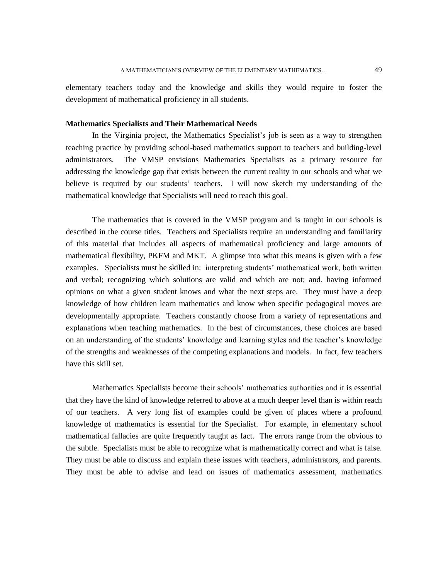elementary teachers today and the knowledge and skills they would require to foster the development of mathematical proficiency in all students.

## **Mathematics Specialists and Their Mathematical Needs**

In the Virginia project, the Mathematics Specialist's job is seen as a way to strengthen teaching practice by providing school-based mathematics support to teachers and building-level administrators. The VMSP envisions Mathematics Specialists as a primary resource for addressing the knowledge gap that exists between the current reality in our schools and what we believe is required by our students' teachers. I will now sketch my understanding of the mathematical knowledge that Specialists will need to reach this goal.

The mathematics that is covered in the VMSP program and is taught in our schools is described in the course titles. Teachers and Specialists require an understanding and familiarity of this material that includes all aspects of mathematical proficiency and large amounts of mathematical flexibility, PKFM and MKT. A glimpse into what this means is given with a few examples. Specialists must be skilled in: interpreting students' mathematical work, both written and verbal; recognizing which solutions are valid and which are not; and, having informed opinions on what a given student knows and what the next steps are. They must have a deep knowledge of how children learn mathematics and know when specific pedagogical moves are developmentally appropriate. Teachers constantly choose from a variety of representations and explanations when teaching mathematics. In the best of circumstances, these choices are based on an understanding of the students' knowledge and learning styles and the teacher's knowledge of the strengths and weaknesses of the competing explanations and models. In fact, few teachers have this skill set.

Mathematics Specialists become their schools' mathematics authorities and it is essential that they have the kind of knowledge referred to above at a much deeper level than is within reach of our teachers. A very long list of examples could be given of places where a profound knowledge of mathematics is essential for the Specialist. For example, in elementary school mathematical fallacies are quite frequently taught as fact. The errors range from the obvious to the subtle. Specialists must be able to recognize what is mathematically correct and what is false. They must be able to discuss and explain these issues with teachers, administrators, and parents. They must be able to advise and lead on issues of mathematics assessment, mathematics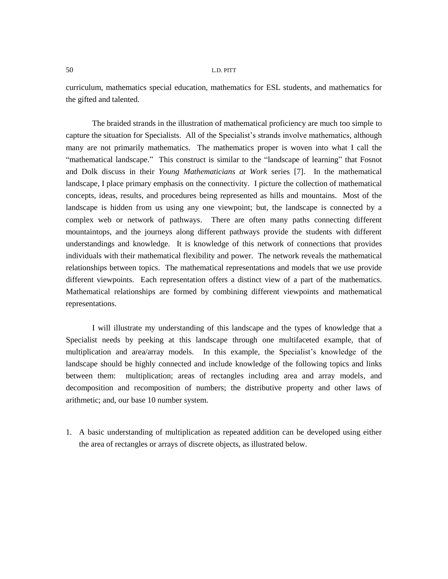curriculum, mathematics special education, mathematics for ESL students, and mathematics for the gifted and talented.

The braided strands in the illustration of mathematical proficiency are much too simple to capture the situation for Specialists. All of the Specialist's strands involve mathematics, although many are not primarily mathematics. The mathematics proper is woven into what I call the "mathematical landscape." This construct is similar to the "landscape of learning" that Fosnot and Dolk discuss in their *Young Mathematicians at Work* series [7]. In the mathematical landscape, I place primary emphasis on the connectivity. I picture the collection of mathematical concepts, ideas, results, and procedures being represented as hills and mountains. Most of the landscape is hidden from us using any one viewpoint; but, the landscape is connected by a complex web or network of pathways. There are often many paths connecting different mountaintops, and the journeys along different pathways provide the students with different understandings and knowledge. It is knowledge of this network of connections that provides individuals with their mathematical flexibility and power. The network reveals the mathematical relationships between topics. The mathematical representations and models that we use provide different viewpoints. Each representation offers a distinct view of a part of the mathematics. Mathematical relationships are formed by combining different viewpoints and mathematical representations.

I will illustrate my understanding of this landscape and the types of knowledge that a Specialist needs by peeking at this landscape through one multifaceted example, that of multiplication and area/array models. In this example, the Specialist's knowledge of the landscape should be highly connected and include knowledge of the following topics and links between them: multiplication; areas of rectangles including area and array models, and decomposition and recomposition of numbers; the distributive property and other laws of arithmetic; and, our base 10 number system.

1. A basic understanding of multiplication as repeated addition can be developed using either the area of rectangles or arrays of discrete objects, as illustrated below.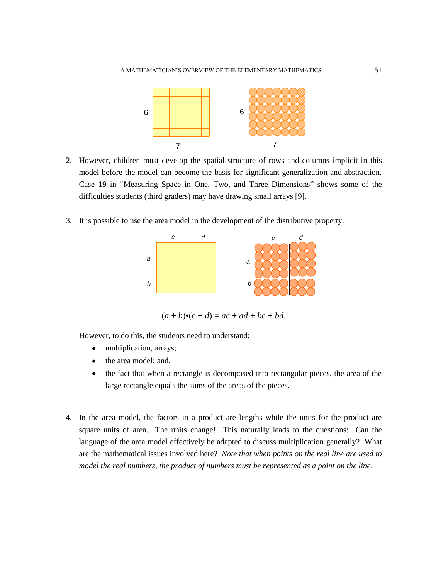

- 2. However, children must develop the spatial structure of rows and columns implicit in this model before the model can become the basis for significant generalization and abstraction. Case 19 in "Measuring Space in One, Two, and Three Dimensions" shows some of the difficulties students (third graders) may have drawing small arrays [9].
- 3. It is possible to use the area model in the development of the distributive property.



 $(a + b) \cdot (c + d) = ac + ad + bc + bd.$ 

However, to do this, the students need to understand:

- $\bullet$ multiplication, arrays;
- $\bullet$ the area model; and,
- $\bullet$ the fact that when a rectangle is decomposed into rectangular pieces, the area of the large rectangle equals the sums of the areas of the pieces.
- 4. In the area model, the factors in a product are lengths while the units for the product are square units of area. The units change! This naturally leads to the questions: Can the language of the area model effectively be adapted to discuss multiplication generally? What are the mathematical issues involved here? *Note that when points on the real line are used to model the real numbers, the product of numbers must be represented as a point on the line*.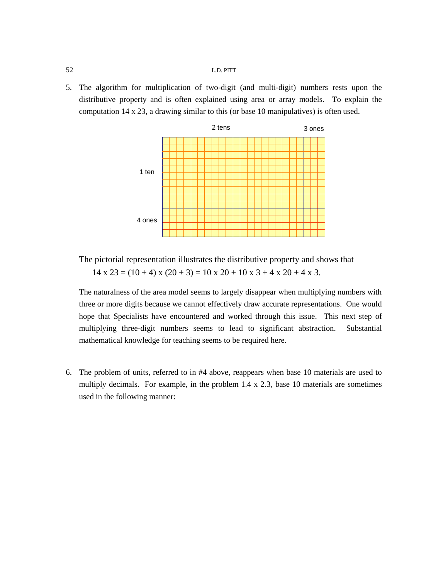5. The algorithm for multiplication of two-digit (and multi-digit) numbers rests upon the distributive property and is often explained using area or array models. To explain the computation 14 x 23, a drawing similar to this (or base 10 manipulatives) is often used.



The pictorial representation illustrates the distributive property and shows that  $14 \times 23 = (10 + 4) \times (20 + 3) = 10 \times 20 + 10 \times 3 + 4 \times 20 + 4 \times 3$ .

The naturalness of the area model seems to largely disappear when multiplying numbers with three or more digits because we cannot effectively draw accurate representations. One would hope that Specialists have encountered and worked through this issue. This next step of multiplying three-digit numbers seems to lead to significant abstraction. Substantial mathematical knowledge for teaching seems to be required here.

6. The problem of units, referred to in #4 above, reappears when base 10 materials are used to multiply decimals. For example, in the problem  $1.4 \times 2.3$ , base 10 materials are sometimes used in the following manner: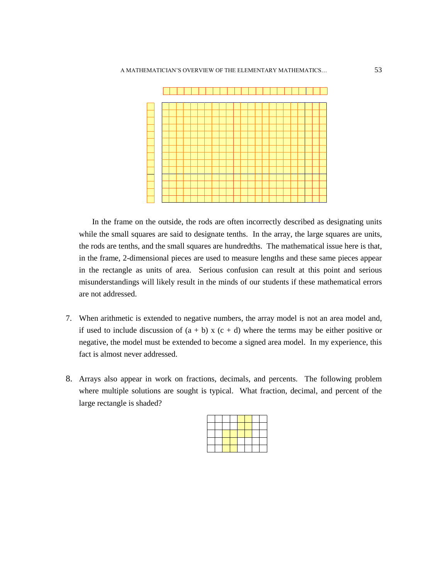

In the frame on the outside, the rods are often incorrectly described as designating units while the small squares are said to designate tenths. In the array, the large squares are units, the rods are tenths, and the small squares are hundredths. The mathematical issue here is that, in the frame, 2-dimensional pieces are used to measure lengths and these same pieces appear in the rectangle as units of area. Serious confusion can result at this point and serious misunderstandings will likely result in the minds of our students if these mathematical errors are not addressed.

- 7. When arithmetic is extended to negative numbers, the array model is not an area model and, if used to include discussion of  $(a + b)$  x  $(c + d)$  where the terms may be either positive or negative, the model must be extended to become a signed area model. In my experience, this fact is almost never addressed.
- 8. Arrays also appear in work on fractions, decimals, and percents. The following problem where multiple solutions are sought is typical. What fraction, decimal, and percent of the large rectangle is shaded?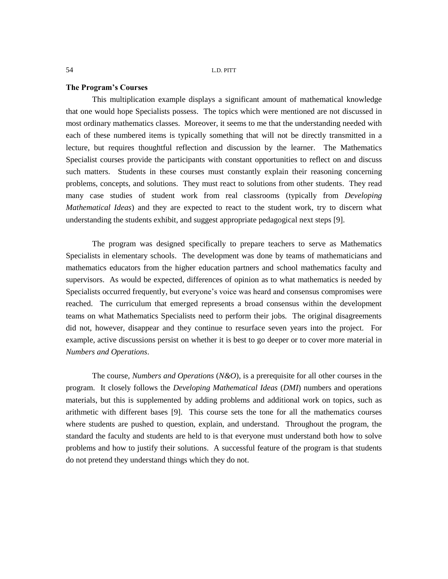### **The Program's Courses**

This multiplication example displays a significant amount of mathematical knowledge that one would hope Specialists possess. The topics which were mentioned are not discussed in most ordinary mathematics classes. Moreover, it seems to me that the understanding needed with each of these numbered items is typically something that will not be directly transmitted in a lecture, but requires thoughtful reflection and discussion by the learner. The Mathematics Specialist courses provide the participants with constant opportunities to reflect on and discuss such matters. Students in these courses must constantly explain their reasoning concerning problems, concepts, and solutions. They must react to solutions from other students. They read many case studies of student work from real classrooms (typically from *Developing Mathematical Ideas*) and they are expected to react to the student work, try to discern what understanding the students exhibit, and suggest appropriate pedagogical next steps [9].

The program was designed specifically to prepare teachers to serve as Mathematics Specialists in elementary schools. The development was done by teams of mathematicians and mathematics educators from the higher education partners and school mathematics faculty and supervisors. As would be expected, differences of opinion as to what mathematics is needed by Specialists occurred frequently, but everyone's voice was heard and consensus compromises were reached. The curriculum that emerged represents a broad consensus within the development teams on what Mathematics Specialists need to perform their jobs. The original disagreements did not, however, disappear and they continue to resurface seven years into the project. For example, active discussions persist on whether it is best to go deeper or to cover more material in *Numbers and Operations*.

The course, *Numbers and Operations* (*N&O*), is a prerequisite for all other courses in the program. It closely follows the *Developing Mathematical Ideas* (*DMI*) numbers and operations materials, but this is supplemented by adding problems and additional work on topics, such as arithmetic with different bases [9]. This course sets the tone for all the mathematics courses where students are pushed to question, explain, and understand. Throughout the program, the standard the faculty and students are held to is that everyone must understand both how to solve problems and how to justify their solutions. A successful feature of the program is that students do not pretend they understand things which they do not.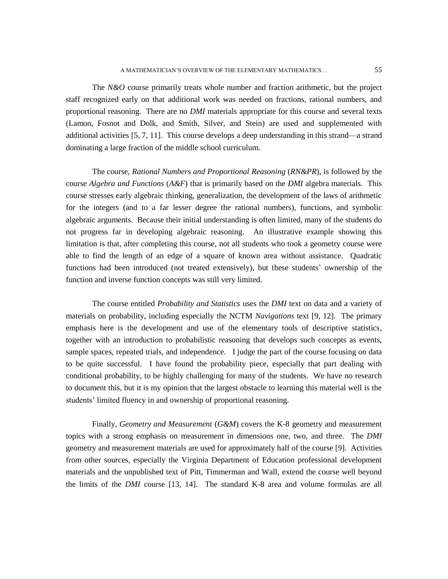The *N&O* course primarily treats whole number and fraction arithmetic, but the project staff recognized early on that additional work was needed on fractions, rational numbers, and proportional reasoning. There are no *DMI* materials appropriate for this course and several texts (Lamon, Fosnot and Dolk, and Smith, Silver, and Stein) are used and supplemented with additional activities [5, 7, 11]. This course develops a deep understanding in this strand—a strand dominating a large fraction of the middle school curriculum.

The course, *Rational Numbers and Proportional Reasoning* (*RN&PR*), is followed by the course *Algebra and Functions* (*A&F*) that is primarily based on the *DMI* algebra materials. This course stresses early algebraic thinking, generalization, the development of the laws of arithmetic for the integers (and to a far lesser degree the rational numbers), functions, and symbolic algebraic arguments. Because their initial understanding is often limited, many of the students do not progress far in developing algebraic reasoning. An illustrative example showing this limitation is that, after completing this course, not all students who took a geometry course were able to find the length of an edge of a square of known area without assistance. Quadratic functions had been introduced (not treated extensively), but these students' ownership of the function and inverse function concepts was still very limited.

The course entitled *Probability and Statistics* uses the *DMI* text on data and a variety of materials on probability, including especially the NCTM *Navigations* text [9, 12]. The primary emphasis here is the development and use of the elementary tools of descriptive statistics, together with an introduction to probabilistic reasoning that develops such concepts as events, sample spaces, repeated trials, and independence. I judge the part of the course focusing on data to be quite successful. I have found the probability piece, especially that part dealing with conditional probability, to be highly challenging for many of the students. We have no research to document this, but it is my opinion that the largest obstacle to learning this material well is the students' limited fluency in and ownership of proportional reasoning.

Finally, *Geometry and Measurement* (*G&M*) covers the K-8 geometry and measurement topics with a strong emphasis on measurement in dimensions one, two, and three. The *DMI* geometry and measurement materials are used for approximately half of the course [9]. Activities from other sources, especially the Virginia Department of Education professional development materials and the unpublished text of Pitt, Timmerman and Wall, extend the course well beyond the limits of the *DMI* course [13, 14]. The standard K-8 area and volume formulas are all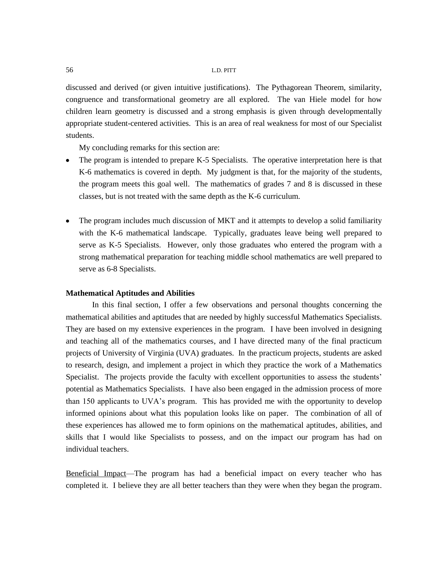discussed and derived (or given intuitive justifications). The Pythagorean Theorem, similarity, congruence and transformational geometry are all explored. The van Hiele model for how children learn geometry is discussed and a strong emphasis is given through developmentally appropriate student-centered activities. This is an area of real weakness for most of our Specialist students.

My concluding remarks for this section are:

- The program is intended to prepare K-5 Specialists. The operative interpretation here is that K-6 mathematics is covered in depth. My judgment is that, for the majority of the students, the program meets this goal well. The mathematics of grades 7 and 8 is discussed in these classes, but is not treated with the same depth as the K-6 curriculum.
- The program includes much discussion of MKT and it attempts to develop a solid familiarity with the K-6 mathematical landscape. Typically, graduates leave being well prepared to serve as K-5 Specialists. However, only those graduates who entered the program with a strong mathematical preparation for teaching middle school mathematics are well prepared to serve as 6-8 Specialists.

#### **Mathematical Aptitudes and Abilities**

In this final section, I offer a few observations and personal thoughts concerning the mathematical abilities and aptitudes that are needed by highly successful Mathematics Specialists. They are based on my extensive experiences in the program. I have been involved in designing and teaching all of the mathematics courses, and I have directed many of the final practicum projects of University of Virginia (UVA) graduates. In the practicum projects, students are asked to research, design, and implement a project in which they practice the work of a Mathematics Specialist. The projects provide the faculty with excellent opportunities to assess the students' potential as Mathematics Specialists. I have also been engaged in the admission process of more than 150 applicants to UVA's program. This has provided me with the opportunity to develop informed opinions about what this population looks like on paper. The combination of all of these experiences has allowed me to form opinions on the mathematical aptitudes, abilities, and skills that I would like Specialists to possess, and on the impact our program has had on individual teachers.

Beneficial Impact—The program has had a beneficial impact on every teacher who has completed it. I believe they are all better teachers than they were when they began the program.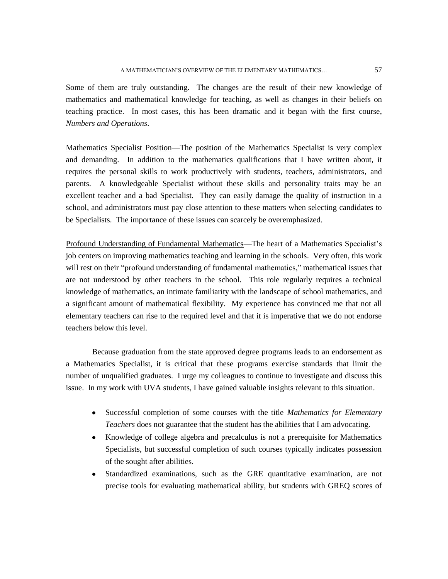Some of them are truly outstanding. The changes are the result of their new knowledge of mathematics and mathematical knowledge for teaching, as well as changes in their beliefs on teaching practice. In most cases, this has been dramatic and it began with the first course, *Numbers and Operations*.

Mathematics Specialist Position—The position of the Mathematics Specialist is very complex and demanding. In addition to the mathematics qualifications that I have written about, it requires the personal skills to work productively with students, teachers, administrators, and parents. A knowledgeable Specialist without these skills and personality traits may be an excellent teacher and a bad Specialist. They can easily damage the quality of instruction in a school, and administrators must pay close attention to these matters when selecting candidates to be Specialists. The importance of these issues can scarcely be overemphasized.

Profound Understanding of Fundamental Mathematics—The heart of a Mathematics Specialist's job centers on improving mathematics teaching and learning in the schools. Very often, this work will rest on their "profound understanding of fundamental mathematics," mathematical issues that are not understood by other teachers in the school. This role regularly requires a technical knowledge of mathematics, an intimate familiarity with the landscape of school mathematics, and a significant amount of mathematical flexibility. My experience has convinced me that not all elementary teachers can rise to the required level and that it is imperative that we do not endorse teachers below this level.

Because graduation from the state approved degree programs leads to an endorsement as a Mathematics Specialist, it is critical that these programs exercise standards that limit the number of unqualified graduates. I urge my colleagues to continue to investigate and discuss this issue. In my work with UVA students, I have gained valuable insights relevant to this situation.

- Successful completion of some courses with the title *Mathematics for Elementary Teachers* does not guarantee that the student has the abilities that I am advocating.
- $\bullet$ Knowledge of college algebra and precalculus is not a prerequisite for Mathematics Specialists, but successful completion of such courses typically indicates possession of the sought after abilities.
- $\bullet$ Standardized examinations, such as the GRE quantitative examination, are not precise tools for evaluating mathematical ability, but students with GREQ scores of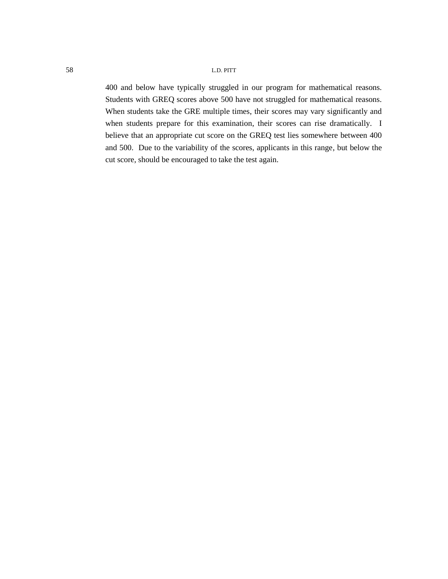400 and below have typically struggled in our program for mathematical reasons. Students with GREQ scores above 500 have not struggled for mathematical reasons. When students take the GRE multiple times, their scores may vary significantly and when students prepare for this examination, their scores can rise dramatically. I believe that an appropriate cut score on the GREQ test lies somewhere between 400 and 500. Due to the variability of the scores, applicants in this range, but below the cut score, should be encouraged to take the test again.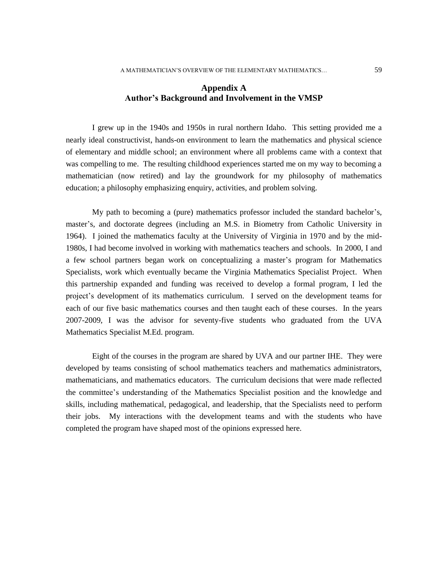# **Appendix A Author's Background and Involvement in the VMSP**

I grew up in the 1940s and 1950s in rural northern Idaho. This setting provided me a nearly ideal constructivist, hands-on environment to learn the mathematics and physical science of elementary and middle school; an environment where all problems came with a context that was compelling to me. The resulting childhood experiences started me on my way to becoming a mathematician (now retired) and lay the groundwork for my philosophy of mathematics education; a philosophy emphasizing enquiry, activities, and problem solving.

My path to becoming a (pure) mathematics professor included the standard bachelor's, master's, and doctorate degrees (including an M.S. in Biometry from Catholic University in 1964). I joined the mathematics faculty at the University of Virginia in 1970 and by the mid-1980s, I had become involved in working with mathematics teachers and schools. In 2000, I and a few school partners began work on conceptualizing a master's program for Mathematics Specialists, work which eventually became the Virginia Mathematics Specialist Project. When this partnership expanded and funding was received to develop a formal program, I led the project's development of its mathematics curriculum. I served on the development teams for each of our five basic mathematics courses and then taught each of these courses. In the years 2007-2009, I was the advisor for seventy-five students who graduated from the UVA Mathematics Specialist M.Ed. program.

Eight of the courses in the program are shared by UVA and our partner IHE. They were developed by teams consisting of school mathematics teachers and mathematics administrators, mathematicians, and mathematics educators. The curriculum decisions that were made reflected the committee's understanding of the Mathematics Specialist position and the knowledge and skills, including mathematical, pedagogical, and leadership, that the Specialists need to perform their jobs. My interactions with the development teams and with the students who have completed the program have shaped most of the opinions expressed here.